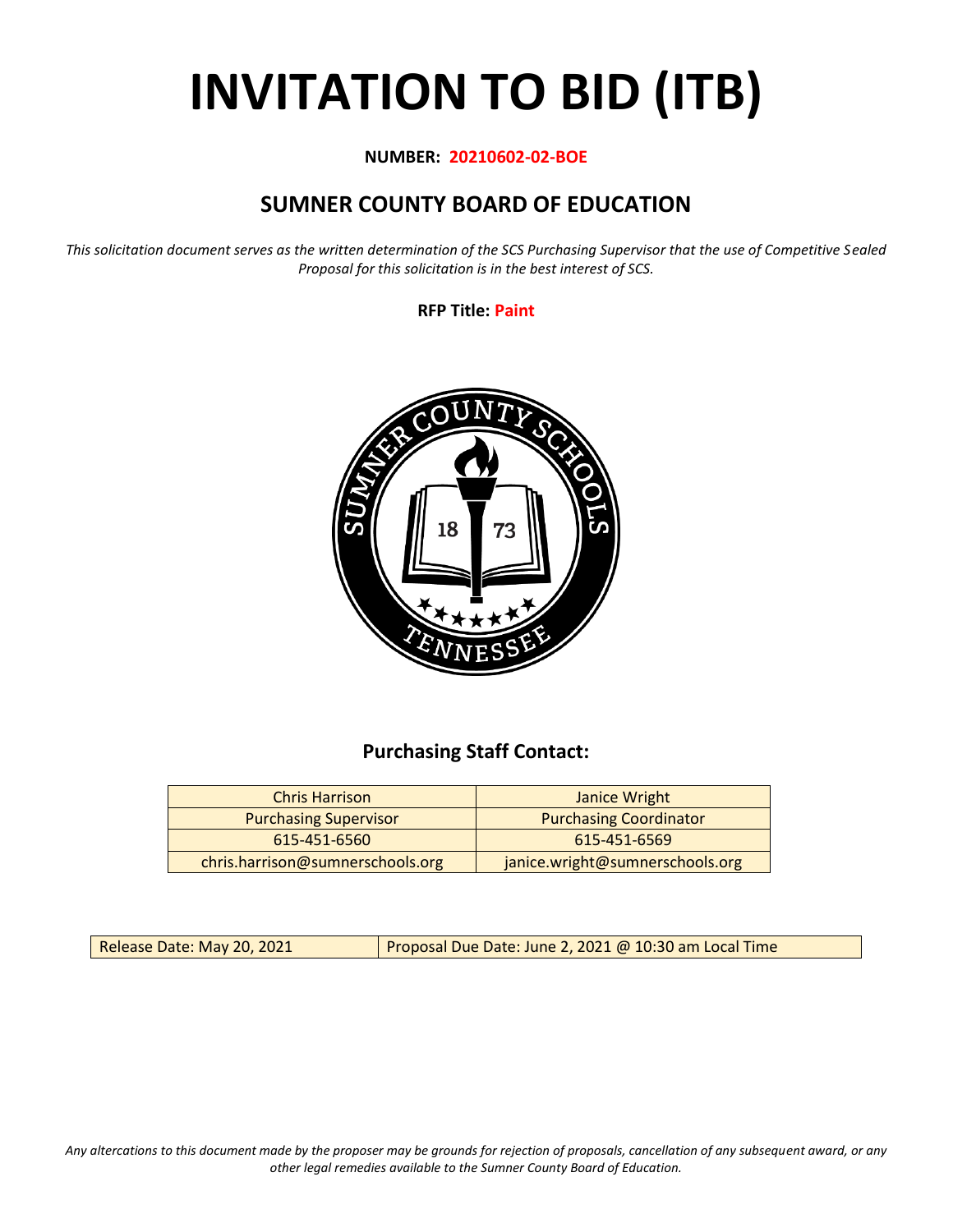# **INVITATION TO BID (ITB)**

#### **NUMBER: 20210602-02-BOE**

## **SUMNER COUNTY BOARD OF EDUCATION**

*This solicitation document serves as the written determination of the SCS Purchasing Supervisor that the use of Competitive Sealed Proposal for this solicitation is in the best interest of SCS.*

**RFP Title: Paint**



## **Purchasing Staff Contact:**

| <b>Chris Harrison</b>            | Janice Wright                   |
|----------------------------------|---------------------------------|
| <b>Purchasing Supervisor</b>     | <b>Purchasing Coordinator</b>   |
| 615-451-6560                     | 615-451-6569                    |
| chris.harrison@sumnerschools.org | janice.wright@sumnerschools.org |

Release Date: May 20, 2021 **Proposal Due Date: June 2, 2021 @ 10:30 am Local Time** 

*Any altercations to this document made by the proposer may be grounds for rejection of proposals, cancellation of any subsequent award, or any other legal remedies available to the Sumner County Board of Education.*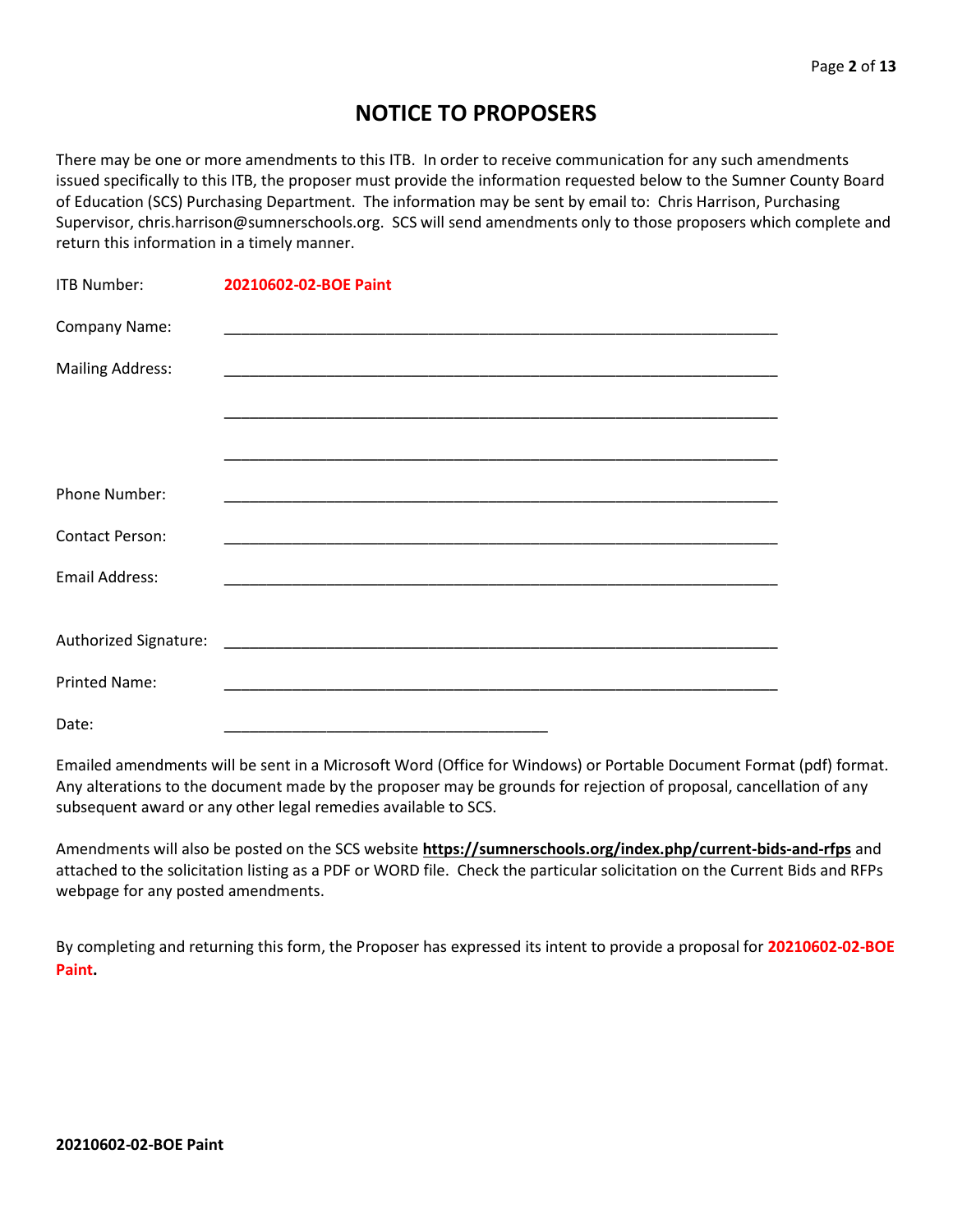## **NOTICE TO PROPOSERS**

There may be one or more amendments to this ITB. In order to receive communication for any such amendments issued specifically to this ITB, the proposer must provide the information requested below to the Sumner County Board of Education (SCS) Purchasing Department. The information may be sent by email to: Chris Harrison, Purchasing Supervisor, chris.harrison@sumnerschools.org. SCS will send amendments only to those proposers which complete and return this information in a timely manner.

| <b>ITB Number:</b>      | 20210602-02-BOE Paint |
|-------------------------|-----------------------|
| Company Name:           |                       |
| <b>Mailing Address:</b> |                       |
|                         |                       |
|                         |                       |
| <b>Phone Number:</b>    |                       |
| <b>Contact Person:</b>  |                       |
| <b>Email Address:</b>   |                       |
|                         |                       |
|                         |                       |
| <b>Printed Name:</b>    |                       |
| Date:                   |                       |

Emailed amendments will be sent in a Microsoft Word (Office for Windows) or Portable Document Format (pdf) format. Any alterations to the document made by the proposer may be grounds for rejection of proposal, cancellation of any subsequent award or any other legal remedies available to SCS.

Amendments will also be posted on the SCS website **https://sumnerschools.org/index.php/current-bids-and-rfps** and attached to the solicitation listing as a PDF or WORD file. Check the particular solicitation on the Current Bids and RFPs webpage for any posted amendments.

By completing and returning this form, the Proposer has expressed its intent to provide a proposal for **20210602-02-BOE Paint.**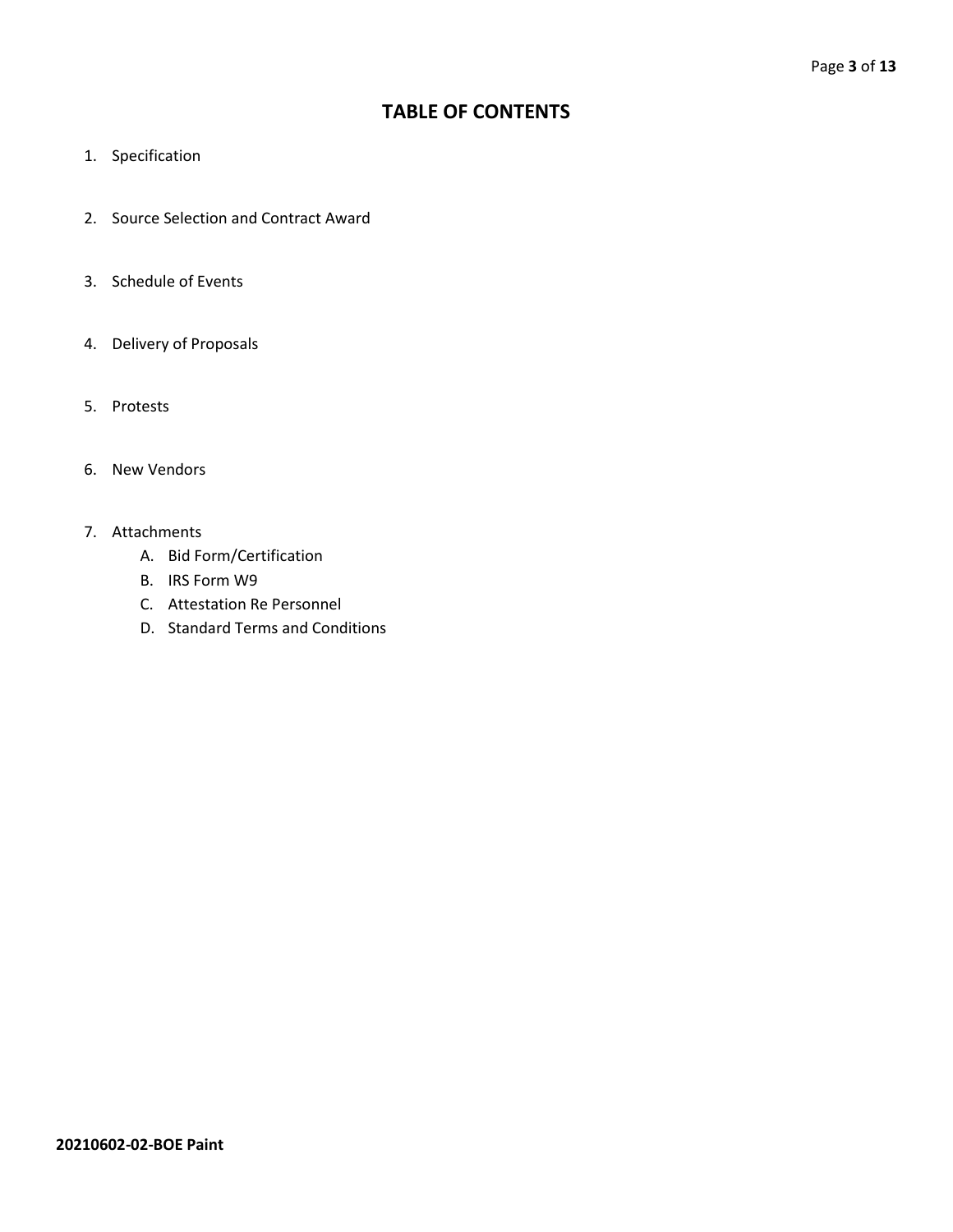## **TABLE OF CONTENTS**

- 1. Specification
- 2. Source Selection and Contract Award
- 3. Schedule of Events
- 4. Delivery of Proposals
- 5. Protests
- 6. New Vendors
- 7. Attachments
	- A. Bid Form/Certification
	- B. IRS Form W9
	- C. Attestation Re Personnel
	- D. Standard Terms and Conditions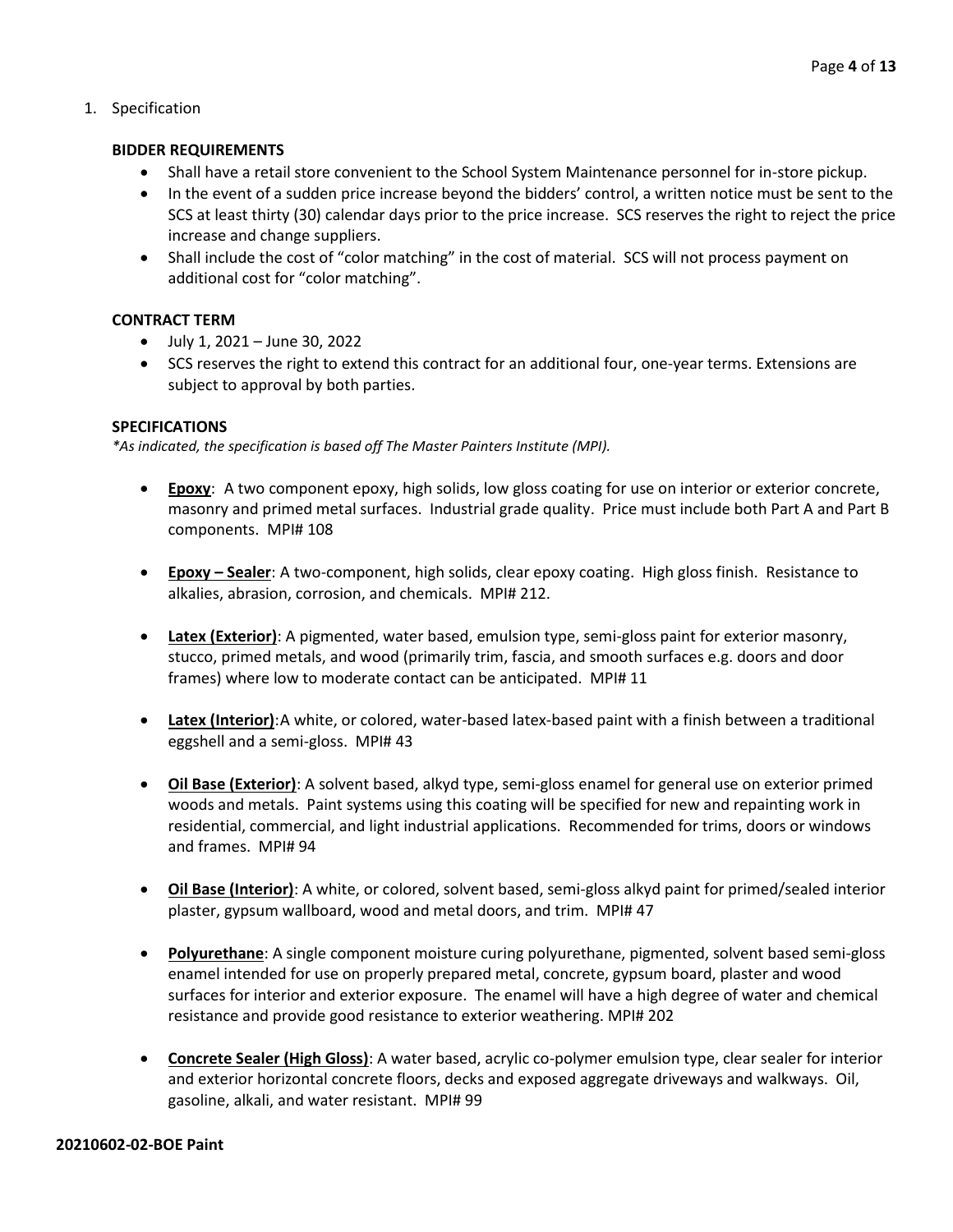#### 1. Specification

#### **BIDDER REQUIREMENTS**

- Shall have a retail store convenient to the School System Maintenance personnel for in-store pickup.
- In the event of a sudden price increase beyond the bidders' control, a written notice must be sent to the SCS at least thirty (30) calendar days prior to the price increase. SCS reserves the right to reject the price increase and change suppliers.
- Shall include the cost of "color matching" in the cost of material. SCS will not process payment on additional cost for "color matching".

#### **CONTRACT TERM**

- July 1, 2021 June 30, 2022
- SCS reserves the right to extend this contract for an additional four, one-year terms. Extensions are subject to approval by both parties.

#### **SPECIFICATIONS**

*\*As indicated, the specification is based off The Master Painters Institute (MPI).*

- **Epoxy**: A two component epoxy, high solids, low gloss coating for use on interior or exterior concrete, masonry and primed metal surfaces. Industrial grade quality. Price must include both Part A and Part B components. MPI# 108
- **Epoxy – Sealer**: A two-component, high solids, clear epoxy coating. High gloss finish. Resistance to alkalies, abrasion, corrosion, and chemicals. MPI# 212.
- **Latex (Exterior)**: A pigmented, water based, emulsion type, semi-gloss paint for exterior masonry, stucco, primed metals, and wood (primarily trim, fascia, and smooth surfaces e.g. doors and door frames) where low to moderate contact can be anticipated. MPI# 11
- **Latex (Interior)**:A white, or colored, water-based latex-based paint with a finish between a traditional eggshell and a semi-gloss. MPI# 43
- **Oil Base (Exterior)**: A solvent based, alkyd type, semi-gloss enamel for general use on exterior primed woods and metals. Paint systems using this coating will be specified for new and repainting work in residential, commercial, and light industrial applications. Recommended for trims, doors or windows and frames. MPI# 94
- **Oil Base (Interior)**: A white, or colored, solvent based, semi-gloss alkyd paint for primed/sealed interior plaster, gypsum wallboard, wood and metal doors, and trim. MPI# 47
- **Polyurethane**: A single component moisture curing polyurethane, pigmented, solvent based semi-gloss enamel intended for use on properly prepared metal, concrete, gypsum board, plaster and wood surfaces for interior and exterior exposure. The enamel will have a high degree of water and chemical resistance and provide good resistance to exterior weathering. MPI# 202
- **Concrete Sealer (High Gloss)**: A water based, acrylic co-polymer emulsion type, clear sealer for interior and exterior horizontal concrete floors, decks and exposed aggregate driveways and walkways. Oil, gasoline, alkali, and water resistant. MPI# 99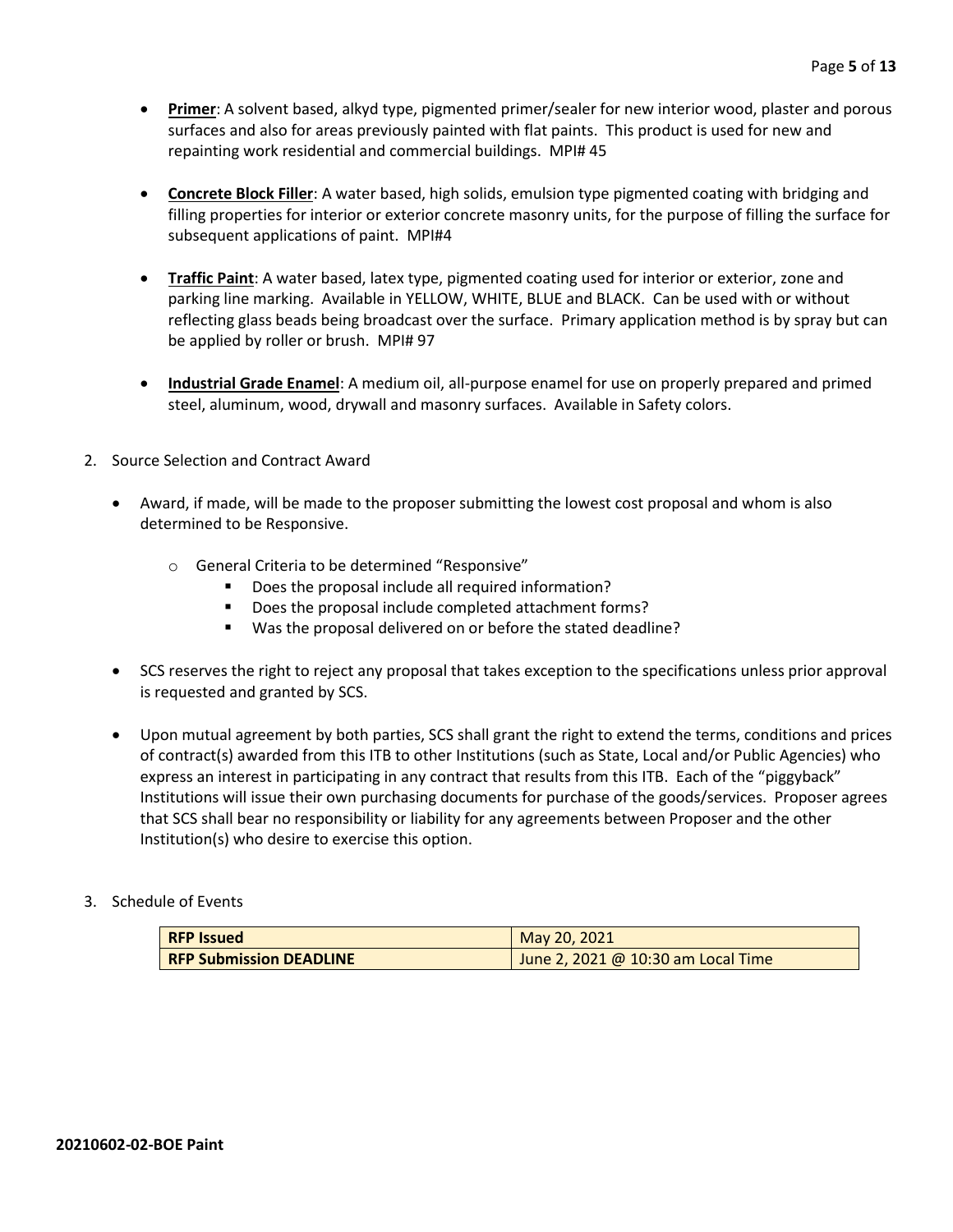- **Primer**: A solvent based, alkyd type, pigmented primer/sealer for new interior wood, plaster and porous surfaces and also for areas previously painted with flat paints. This product is used for new and repainting work residential and commercial buildings. MPI# 45
- **Concrete Block Filler**: A water based, high solids, emulsion type pigmented coating with bridging and filling properties for interior or exterior concrete masonry units, for the purpose of filling the surface for subsequent applications of paint. MPI#4
- **Traffic Paint**: A water based, latex type, pigmented coating used for interior or exterior, zone and parking line marking. Available in YELLOW, WHITE, BLUE and BLACK. Can be used with or without reflecting glass beads being broadcast over the surface. Primary application method is by spray but can be applied by roller or brush. MPI# 97
- **Industrial Grade Enamel**: A medium oil, all-purpose enamel for use on properly prepared and primed steel, aluminum, wood, drywall and masonry surfaces. Available in Safety colors.
- 2. Source Selection and Contract Award
	- Award, if made, will be made to the proposer submitting the lowest cost proposal and whom is also determined to be Responsive.
		- o General Criteria to be determined "Responsive"
			- Does the proposal include all required information?
			- Does the proposal include completed attachment forms?
			- Was the proposal delivered on or before the stated deadline?
	- SCS reserves the right to reject any proposal that takes exception to the specifications unless prior approval is requested and granted by SCS.
	- Upon mutual agreement by both parties, SCS shall grant the right to extend the terms, conditions and prices of contract(s) awarded from this ITB to other Institutions (such as State, Local and/or Public Agencies) who express an interest in participating in any contract that results from this ITB. Each of the "piggyback" Institutions will issue their own purchasing documents for purchase of the goods/services. Proposer agrees that SCS shall bear no responsibility or liability for any agreements between Proposer and the other Institution(s) who desire to exercise this option.

#### 3. Schedule of Events

| <b>RFP Issued</b>              | May 20, 2021                       |
|--------------------------------|------------------------------------|
| <b>RFP Submission DEADLINE</b> | June 2, 2021 @ 10:30 am Local Time |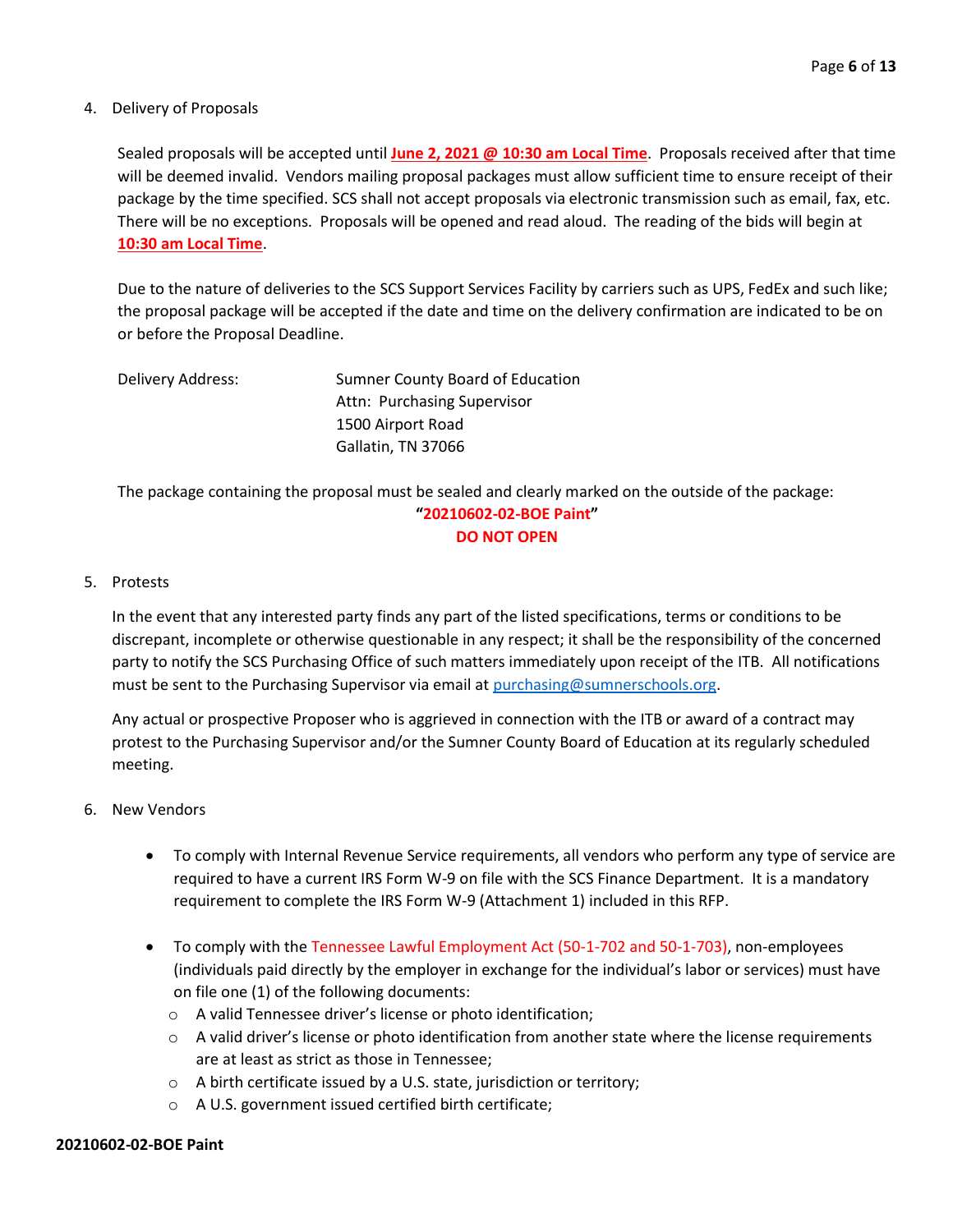#### 4. Delivery of Proposals

Sealed proposals will be accepted until **June 2, 2021 @ 10:30 am Local Time**. Proposals received after that time will be deemed invalid. Vendors mailing proposal packages must allow sufficient time to ensure receipt of their package by the time specified. SCS shall not accept proposals via electronic transmission such as email, fax, etc. There will be no exceptions. Proposals will be opened and read aloud. The reading of the bids will begin at **10:30 am Local Time**.

Due to the nature of deliveries to the SCS Support Services Facility by carriers such as UPS, FedEx and such like; the proposal package will be accepted if the date and time on the delivery confirmation are indicated to be on or before the Proposal Deadline.

| Delivery Address: | Sumner County Board of Education |
|-------------------|----------------------------------|
|                   | Attn: Purchasing Supervisor      |
|                   | 1500 Airport Road                |
|                   | Gallatin, TN 37066               |

The package containing the proposal must be sealed and clearly marked on the outside of the package: **"20210602-02-BOE Paint" DO NOT OPEN**

#### 5. Protests

In the event that any interested party finds any part of the listed specifications, terms or conditions to be discrepant, incomplete or otherwise questionable in any respect; it shall be the responsibility of the concerned party to notify the SCS Purchasing Office of such matters immediately upon receipt of the ITB. All notifications must be sent to the Purchasing Supervisor via email at [purchasing@sumnerschools.org.](mailto:purchasing@sumnerschools.org)

Any actual or prospective Proposer who is aggrieved in connection with the ITB or award of a contract may protest to the Purchasing Supervisor and/or the Sumner County Board of Education at its regularly scheduled meeting.

#### 6. New Vendors

- To comply with Internal Revenue Service requirements, all vendors who perform any type of service are required to have a current IRS Form W-9 on file with the SCS Finance Department. It is a mandatory requirement to complete the IRS Form W-9 (Attachment 1) included in this RFP.
- To comply with the Tennessee Lawful Employment Act (50-1-702 and 50-1-703), non-employees (individuals paid directly by the employer in exchange for the individual's labor or services) must have on file one (1) of the following documents:
	- o A valid Tennessee driver's license or photo identification;
	- $\circ$  A valid driver's license or photo identification from another state where the license requirements are at least as strict as those in Tennessee;
	- o A birth certificate issued by a U.S. state, jurisdiction or territory;
	- o A U.S. government issued certified birth certificate;

#### **20210602-02-BOE Paint**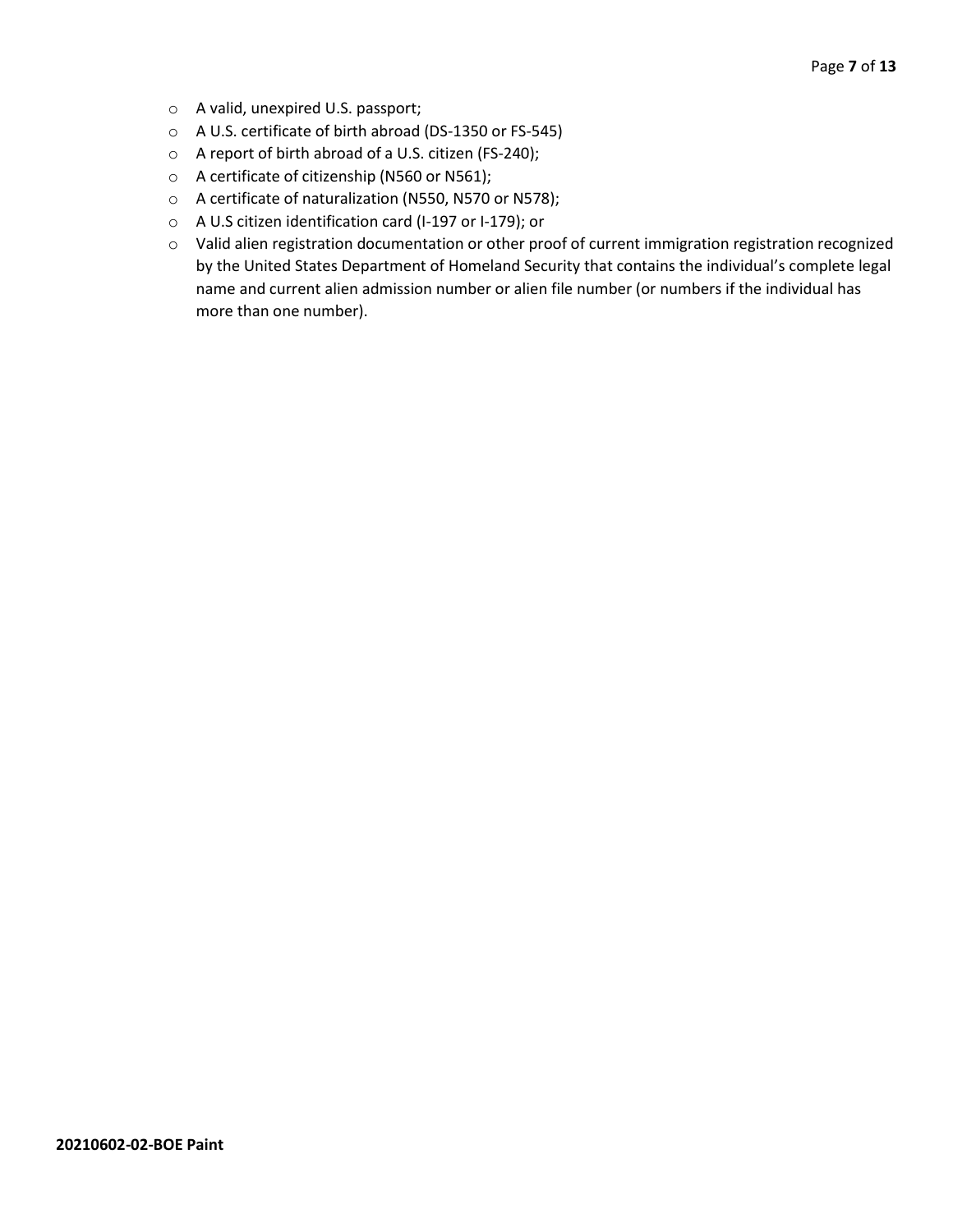- o A valid, unexpired U.S. passport;
- o A U.S. certificate of birth abroad (DS-1350 or FS-545)
- o A report of birth abroad of a U.S. citizen (FS-240);
- o A certificate of citizenship (N560 or N561);
- o A certificate of naturalization (N550, N570 or N578);
- o A U.S citizen identification card (I-197 or I-179); or
- o Valid alien registration documentation or other proof of current immigration registration recognized by the United States Department of Homeland Security that contains the individual's complete legal name and current alien admission number or alien file number (or numbers if the individual has more than one number).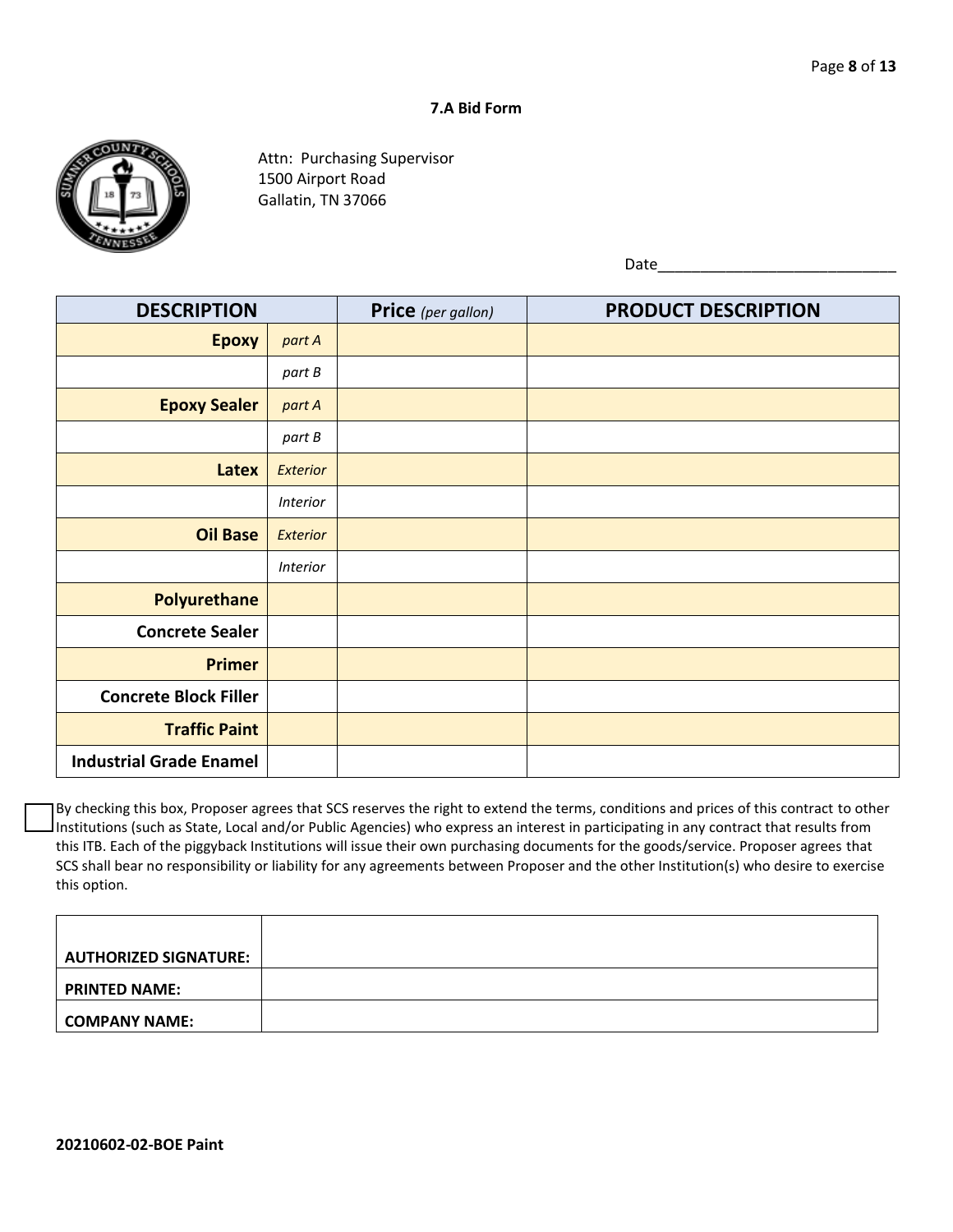#### **7.A Bid Form**



Attn: Purchasing Supervisor 1500 Airport Road Gallatin, TN 37066

Date\_\_\_\_\_\_\_\_\_\_\_\_\_\_\_\_\_\_\_\_\_\_\_\_\_\_\_\_

| <b>DESCRIPTION</b>             |                 | Price (per gallon) | <b>PRODUCT DESCRIPTION</b> |
|--------------------------------|-----------------|--------------------|----------------------------|
| <b>Epoxy</b>                   | part A          |                    |                            |
|                                | part B          |                    |                            |
| <b>Epoxy Sealer</b>            | part A          |                    |                            |
|                                | part B          |                    |                            |
| Latex                          | Exterior        |                    |                            |
|                                | <b>Interior</b> |                    |                            |
| <b>Oil Base</b>                | <b>Exterior</b> |                    |                            |
|                                | <b>Interior</b> |                    |                            |
| <b>Polyurethane</b>            |                 |                    |                            |
| <b>Concrete Sealer</b>         |                 |                    |                            |
| <b>Primer</b>                  |                 |                    |                            |
| <b>Concrete Block Filler</b>   |                 |                    |                            |
| <b>Traffic Paint</b>           |                 |                    |                            |
| <b>Industrial Grade Enamel</b> |                 |                    |                            |

By checking this box, Proposer agrees that SCS reserves the right to extend the terms, conditions and prices of this contract to other Institutions (such as State, Local and/or Public Agencies) who express an interest in participating in any contract that results from this ITB. Each of the piggyback Institutions will issue their own purchasing documents for the goods/service. Proposer agrees that SCS shall bear no responsibility or liability for any agreements between Proposer and the other Institution(s) who desire to exercise this option.

| <b>AUTHORIZED SIGNATURE:</b> |  |
|------------------------------|--|
| <b>PRINTED NAME:</b>         |  |
| <b>COMPANY NAME:</b>         |  |
|                              |  |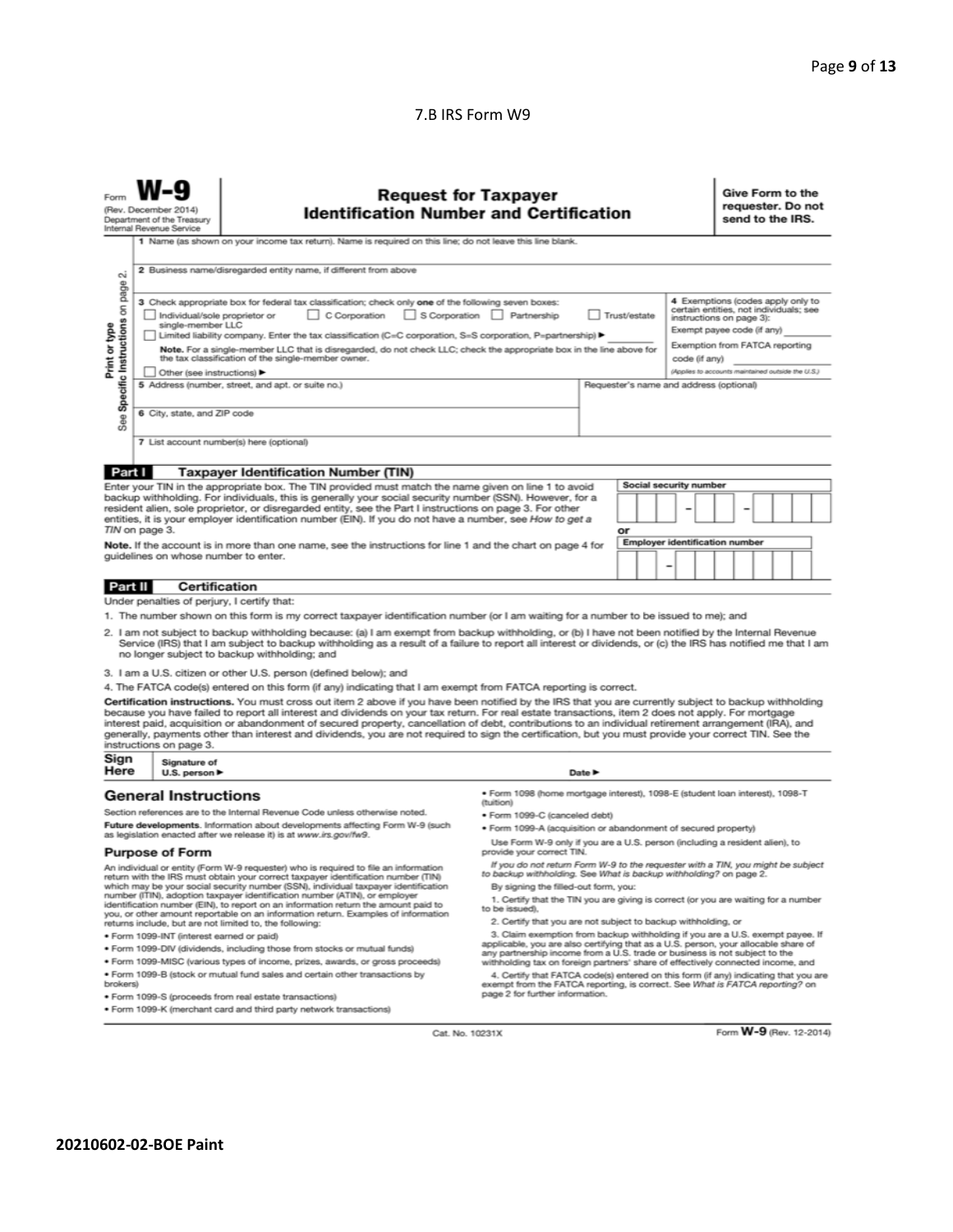#### 7.B IRS Form W9

| N                                                                                                                                                                                                                                                                                                                                                                                                                                                                                                                                                                                                                                                                                                                                                                                                                                                                                                                                                                                                                                           | <b>Request for Taxpayer</b><br>(Rev. December 2014)<br><b>Identification Number and Certification</b><br>Department of the Treasury<br>Internal Revenue Service<br>1 Name (as shown on your income tax return). Name is required on this line; do not leave this line blank.<br>2 Business name/disregarded entity name, if different from above |                                                                                                                                                                                                                                                                                                                                                                       |                                                                                                                                                                                                                                                        |                            |    |                        |  |  | Give Form to the<br>requester. Do not<br>send to the IRS. |  |  |  |  |
|---------------------------------------------------------------------------------------------------------------------------------------------------------------------------------------------------------------------------------------------------------------------------------------------------------------------------------------------------------------------------------------------------------------------------------------------------------------------------------------------------------------------------------------------------------------------------------------------------------------------------------------------------------------------------------------------------------------------------------------------------------------------------------------------------------------------------------------------------------------------------------------------------------------------------------------------------------------------------------------------------------------------------------------------|--------------------------------------------------------------------------------------------------------------------------------------------------------------------------------------------------------------------------------------------------------------------------------------------------------------------------------------------------|-----------------------------------------------------------------------------------------------------------------------------------------------------------------------------------------------------------------------------------------------------------------------------------------------------------------------------------------------------------------------|--------------------------------------------------------------------------------------------------------------------------------------------------------------------------------------------------------------------------------------------------------|----------------------------|----|------------------------|--|--|-----------------------------------------------------------|--|--|--|--|
| page<br>4 Exemptions (codes apply only to<br>3 Check appropriate box for federal tax classification; check only one of the following seven boxes:<br>Specific Instructions on<br>certain entities, not individuals; see<br>C Corporation<br>S Corporation Partnership<br>Individual/sole proprietor or<br>Trust/estate<br>instructions on page 3):<br>Print or type<br>single-member LLC<br>Exempt payee code (if any)<br>Limited liability company. Enter the tax classification (C=C corporation, S=S corporation, P=partnership) ▶<br>Exemption from FATCA reporting<br>Note. For a single-member LLC that is disregarded, do not check LLC; check the appropriate box in the line above for<br>the tax classification of the single-member owner.<br>code (if any)<br>(Applies to accounts maintained outside the U.S.)<br>Other (see instructions) ▶<br>5 Address (number, street, and apt. or suite no.)<br>Requester's name and address (optional)<br>6 City, state, and ZIP code<br>See<br>7 List account number(s) here (optional) |                                                                                                                                                                                                                                                                                                                                                  |                                                                                                                                                                                                                                                                                                                                                                       |                                                                                                                                                                                                                                                        |                            |    |                        |  |  |                                                           |  |  |  |  |
| Part I                                                                                                                                                                                                                                                                                                                                                                                                                                                                                                                                                                                                                                                                                                                                                                                                                                                                                                                                                                                                                                      |                                                                                                                                                                                                                                                                                                                                                  | <b>Taxpayer Identification Number (TIN)</b>                                                                                                                                                                                                                                                                                                                           |                                                                                                                                                                                                                                                        |                            |    |                        |  |  |                                                           |  |  |  |  |
|                                                                                                                                                                                                                                                                                                                                                                                                                                                                                                                                                                                                                                                                                                                                                                                                                                                                                                                                                                                                                                             |                                                                                                                                                                                                                                                                                                                                                  | Enter your TIN in the appropriate box. The TIN provided must match the name given on line 1 to avoid                                                                                                                                                                                                                                                                  |                                                                                                                                                                                                                                                        |                            |    | Social security number |  |  |                                                           |  |  |  |  |
|                                                                                                                                                                                                                                                                                                                                                                                                                                                                                                                                                                                                                                                                                                                                                                                                                                                                                                                                                                                                                                             | TIN on page 3.                                                                                                                                                                                                                                                                                                                                   | backup withholding. For individuals, this is generally your social security number (SSN). However, for a<br>resident alien, sole proprietor, or disregarded entity, see the Part I instructions on page 3. For other<br>entities, it is your employer identification number (EIN). If you do not have a number, see How to get a                                      |                                                                                                                                                                                                                                                        |                            | or |                        |  |  |                                                           |  |  |  |  |
| <b>Employer identification number</b><br>Note. If the account is in more than one name, see the instructions for line 1 and the chart on page 4 for<br>guidelines on whose number to enter.<br>-                                                                                                                                                                                                                                                                                                                                                                                                                                                                                                                                                                                                                                                                                                                                                                                                                                            |                                                                                                                                                                                                                                                                                                                                                  |                                                                                                                                                                                                                                                                                                                                                                       |                                                                                                                                                                                                                                                        |                            |    |                        |  |  |                                                           |  |  |  |  |
| <b>Part II</b>                                                                                                                                                                                                                                                                                                                                                                                                                                                                                                                                                                                                                                                                                                                                                                                                                                                                                                                                                                                                                              | <b>Certification</b>                                                                                                                                                                                                                                                                                                                             |                                                                                                                                                                                                                                                                                                                                                                       |                                                                                                                                                                                                                                                        |                            |    |                        |  |  |                                                           |  |  |  |  |
| Under penalties of perjury, I certify that:<br>1. The number shown on this form is my correct taxpayer identification number (or I am waiting for a number to be issued to me); and<br>2. I am not subject to backup withholding because: (a) I am exempt from backup withholding, or (b) I have not been notified by the Internal Revenue<br>Service (IRS) that I am subject to backup withholding as a result of a failure to report all interest or dividends, or (c) the IRS has notified me that I am<br>no longer subject to backup withholding; and<br>3. I am a U.S. citizen or other U.S. person (defined below); and                                                                                                                                                                                                                                                                                                                                                                                                              |                                                                                                                                                                                                                                                                                                                                                  |                                                                                                                                                                                                                                                                                                                                                                       |                                                                                                                                                                                                                                                        |                            |    |                        |  |  |                                                           |  |  |  |  |
|                                                                                                                                                                                                                                                                                                                                                                                                                                                                                                                                                                                                                                                                                                                                                                                                                                                                                                                                                                                                                                             |                                                                                                                                                                                                                                                                                                                                                  | 4. The FATCA code(s) entered on this form (if any) indicating that I am exempt from FATCA reporting is correct.                                                                                                                                                                                                                                                       |                                                                                                                                                                                                                                                        |                            |    |                        |  |  |                                                           |  |  |  |  |
| Certification instructions. You must cross out item 2 above if you have been notified by the IRS that you are currently subject to backup withholding<br>because you have failed to report all interest and dividends on your tax return. For real estate transactions, item 2 does not apply. For mortgage<br>interest paid, acquisition or abandonment of secured property, cancellation of debt, contributions to an individual retirement arrangement (IRA), and<br>generally, payments other than interest and dividends, you are not required to sign the certification, but you must provide your correct TIN. See the<br>instructions on page 3.                                                                                                                                                                                                                                                                                                                                                                                    |                                                                                                                                                                                                                                                                                                                                                  |                                                                                                                                                                                                                                                                                                                                                                       |                                                                                                                                                                                                                                                        |                            |    |                        |  |  |                                                           |  |  |  |  |
| Sign<br>Here                                                                                                                                                                                                                                                                                                                                                                                                                                                                                                                                                                                                                                                                                                                                                                                                                                                                                                                                                                                                                                | Signature of<br>U.S. person $\blacktriangleright$                                                                                                                                                                                                                                                                                                |                                                                                                                                                                                                                                                                                                                                                                       |                                                                                                                                                                                                                                                        | Date $\blacktriangleright$ |    |                        |  |  |                                                           |  |  |  |  |
|                                                                                                                                                                                                                                                                                                                                                                                                                                                                                                                                                                                                                                                                                                                                                                                                                                                                                                                                                                                                                                             | <b>General Instructions</b>                                                                                                                                                                                                                                                                                                                      |                                                                                                                                                                                                                                                                                                                                                                       | · Form 1098 (home mortgage interest), 1098-E (student loan interest), 1098-T<br>(tuition)                                                                                                                                                              |                            |    |                        |  |  |                                                           |  |  |  |  |
|                                                                                                                                                                                                                                                                                                                                                                                                                                                                                                                                                                                                                                                                                                                                                                                                                                                                                                                                                                                                                                             |                                                                                                                                                                                                                                                                                                                                                  | Section references are to the Internal Revenue Code unless otherwise noted.                                                                                                                                                                                                                                                                                           | · Form 1099-C (canceled debt)                                                                                                                                                                                                                          |                            |    |                        |  |  |                                                           |  |  |  |  |
|                                                                                                                                                                                                                                                                                                                                                                                                                                                                                                                                                                                                                                                                                                                                                                                                                                                                                                                                                                                                                                             |                                                                                                                                                                                                                                                                                                                                                  | Future developments. Information about developments affecting Form W-9 (such<br>as legislation enacted after we release it) is at www.irs.gov/fw9.                                                                                                                                                                                                                    | . Form 1099-A (acquisition or abandonment of secured property)                                                                                                                                                                                         |                            |    |                        |  |  |                                                           |  |  |  |  |
| <b>Purpose of Form</b>                                                                                                                                                                                                                                                                                                                                                                                                                                                                                                                                                                                                                                                                                                                                                                                                                                                                                                                                                                                                                      |                                                                                                                                                                                                                                                                                                                                                  |                                                                                                                                                                                                                                                                                                                                                                       | Use Form W-9 only if you are a U.S. person (including a resident alien), to<br>provide your correct TIN.                                                                                                                                               |                            |    |                        |  |  |                                                           |  |  |  |  |
| An individual or entity (Form W-9 requester) who is required to file an information<br>return with the IRS must obtain your correct taxpayer identification number (TIN)<br>which may be your social security number (SSN), individual taxpayer identification<br>number (ITIN), adoption taxpayer identification number (ATIN), or employer<br>identification number (EIN), to report on an information return the amount paid to<br>you, or other amount reportable on an information return. Examples of information<br>returns include, but are not limited to, the following:                                                                                                                                                                                                                                                                                                                                                                                                                                                          |                                                                                                                                                                                                                                                                                                                                                  | If you do not return Form W-9 to the requester with a TIN, you might be subject<br>to backup withholding. See What is backup withholding? on page 2.<br>By signing the filled-out form, you:<br>1. Certify that the TIN you are giving is correct (or you are waiting for a number<br>to be issued).<br>2. Certify that you are not subject to backup withholding, or |                                                                                                                                                                                                                                                        |                            |    |                        |  |  |                                                           |  |  |  |  |
| · Form 1099-INT (interest earned or paid)                                                                                                                                                                                                                                                                                                                                                                                                                                                                                                                                                                                                                                                                                                                                                                                                                                                                                                                                                                                                   |                                                                                                                                                                                                                                                                                                                                                  |                                                                                                                                                                                                                                                                                                                                                                       | 3. Claim exemption from backup withholding if you are a U.S. exempt payee. If                                                                                                                                                                          |                            |    |                        |  |  |                                                           |  |  |  |  |
|                                                                                                                                                                                                                                                                                                                                                                                                                                                                                                                                                                                                                                                                                                                                                                                                                                                                                                                                                                                                                                             |                                                                                                                                                                                                                                                                                                                                                  | . Form 1099-DIV (dividends, including those from stocks or mutual funds)                                                                                                                                                                                                                                                                                              | applicable, you are also certifying that as a U.S. person, your allocable share of<br>any partnership income from a U.S. trade or business is not subject to the                                                                                       |                            |    |                        |  |  |                                                           |  |  |  |  |
| * Form 1099-MISC (various types of income, prizes, awards, or gross proceeds)<br>. Form 1099-B (stock or mutual fund sales and certain other transactions by<br>brokers)                                                                                                                                                                                                                                                                                                                                                                                                                                                                                                                                                                                                                                                                                                                                                                                                                                                                    |                                                                                                                                                                                                                                                                                                                                                  |                                                                                                                                                                                                                                                                                                                                                                       | withholding tax on foreign partners' share of effectively connected income, and<br>4. Certify that FATCA code(s) entered on this form (if any) indicating that you are<br>exempt from the FATCA reporting, is correct. See What is FATCA reporting? on |                            |    |                        |  |  |                                                           |  |  |  |  |
| · Form 1099-S (proceeds from real estate transactions)                                                                                                                                                                                                                                                                                                                                                                                                                                                                                                                                                                                                                                                                                                                                                                                                                                                                                                                                                                                      |                                                                                                                                                                                                                                                                                                                                                  |                                                                                                                                                                                                                                                                                                                                                                       | page 2 for further information.                                                                                                                                                                                                                        |                            |    |                        |  |  |                                                           |  |  |  |  |

· Form 1099-K (merchant card and third party network transactions)

Cat. No. 10231X

Form W-9 (Rev. 12-2014)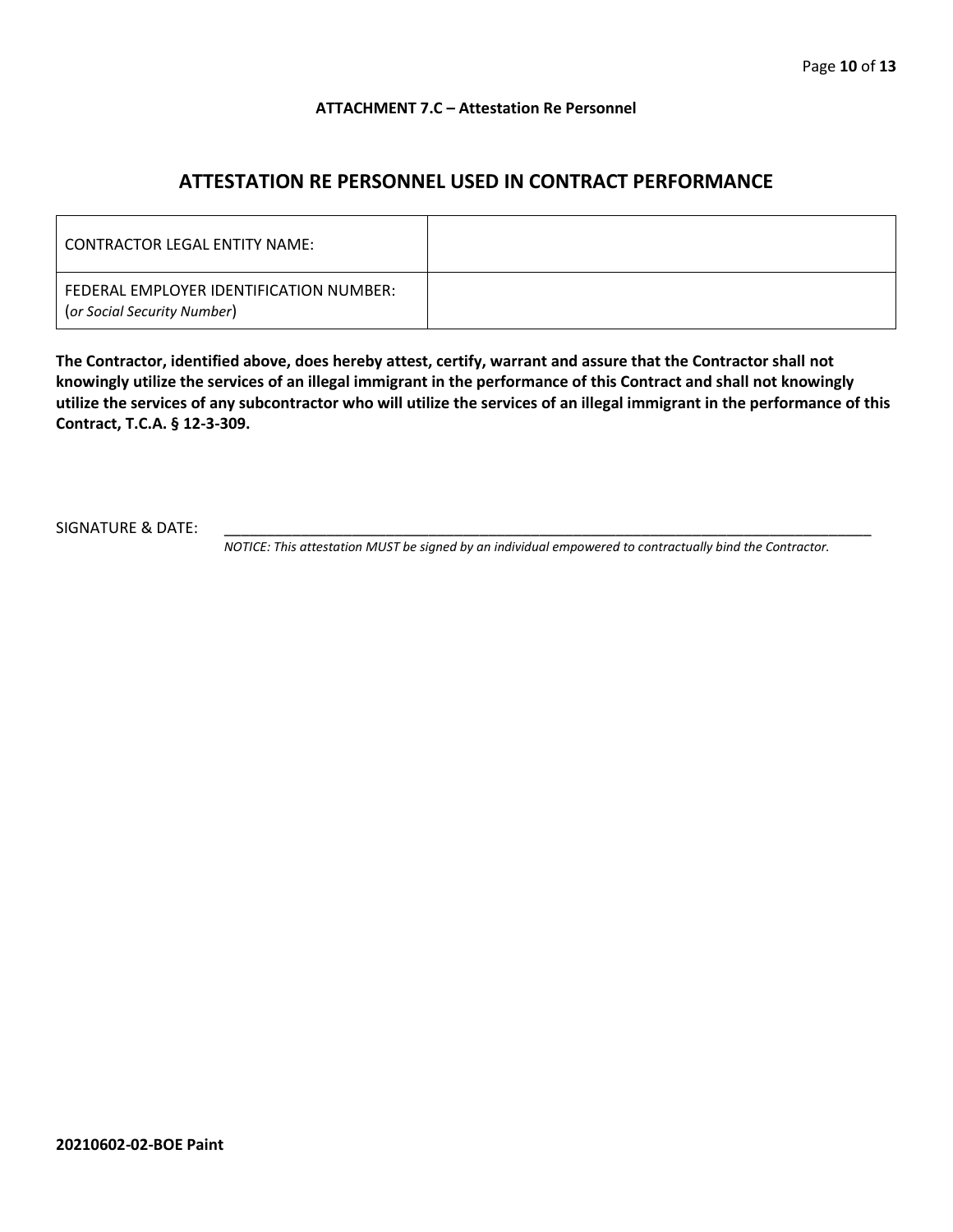#### **ATTACHMENT 7.C – Attestation Re Personnel**

## **ATTESTATION RE PERSONNEL USED IN CONTRACT PERFORMANCE**

| CONTRACTOR LEGAL ENTITY NAME:                                          |  |
|------------------------------------------------------------------------|--|
| FEDERAL EMPLOYER IDENTIFICATION NUMBER:<br>(or Social Security Number) |  |

**The Contractor, identified above, does hereby attest, certify, warrant and assure that the Contractor shall not knowingly utilize the services of an illegal immigrant in the performance of this Contract and shall not knowingly utilize the services of any subcontractor who will utilize the services of an illegal immigrant in the performance of this Contract, T.C.A. § 12-3-309.**

SIGNATURE & DATE:

*NOTICE: This attestation MUST be signed by an individual empowered to contractually bind the Contractor.*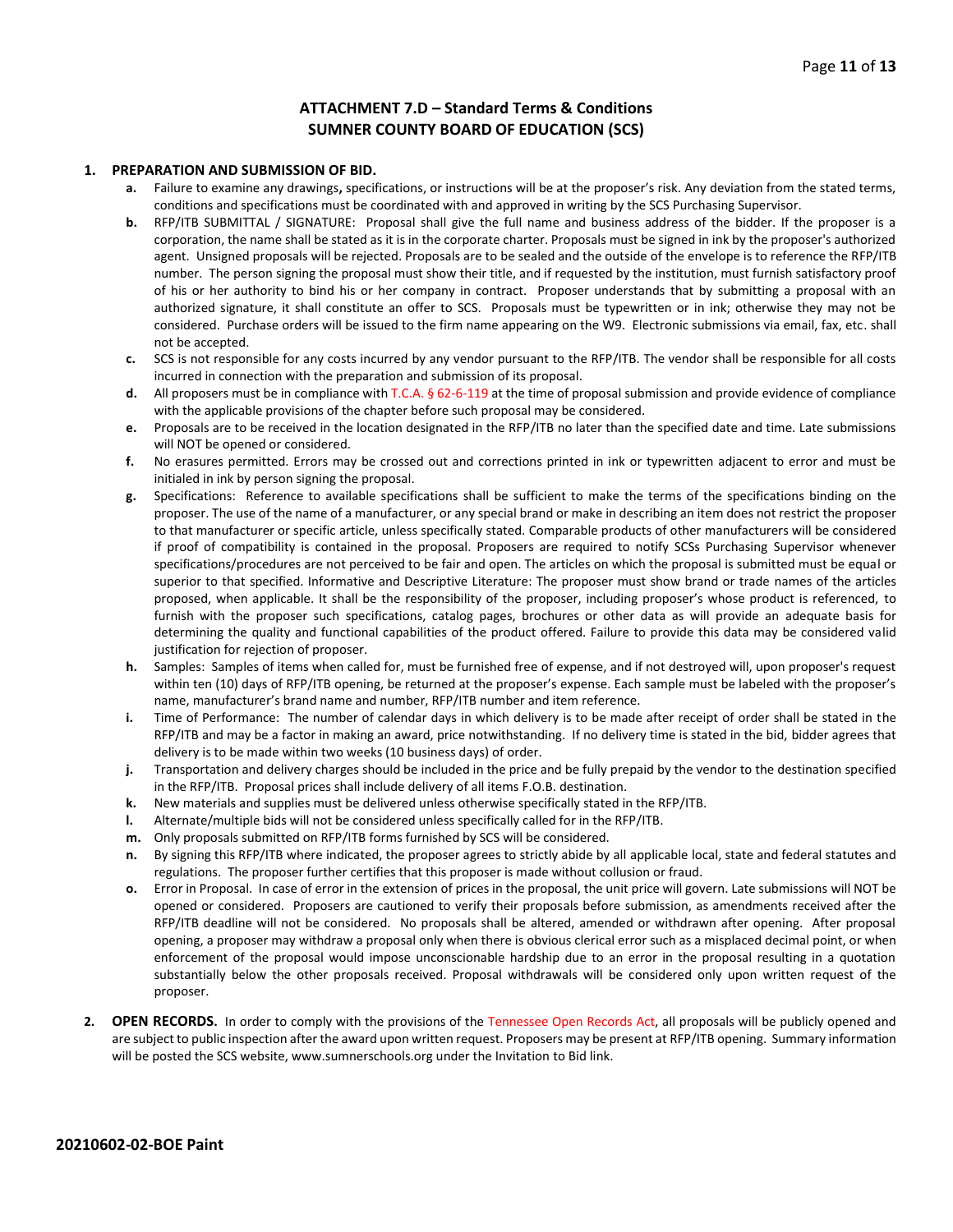#### **ATTACHMENT 7.D – Standard Terms & Conditions SUMNER COUNTY BOARD OF EDUCATION (SCS)**

#### **1. PREPARATION AND SUBMISSION OF BID.**

- **a.** Failure to examine any drawings**,** specifications, or instructions will be at the proposer's risk. Any deviation from the stated terms, conditions and specifications must be coordinated with and approved in writing by the SCS Purchasing Supervisor.
- **b.** RFP/ITB SUBMITTAL / SIGNATURE: Proposal shall give the full name and business address of the bidder. If the proposer is a corporation, the name shall be stated as it is in the corporate charter. Proposals must be signed in ink by the proposer's authorized agent. Unsigned proposals will be rejected. Proposals are to be sealed and the outside of the envelope is to reference the RFP/ITB number. The person signing the proposal must show their title, and if requested by the institution, must furnish satisfactory proof of his or her authority to bind his or her company in contract. Proposer understands that by submitting a proposal with an authorized signature, it shall constitute an offer to SCS. Proposals must be typewritten or in ink; otherwise they may not be considered. Purchase orders will be issued to the firm name appearing on the W9. Electronic submissions via email, fax, etc. shall not be accepted.
- **c.** SCS is not responsible for any costs incurred by any vendor pursuant to the RFP/ITB. The vendor shall be responsible for all costs incurred in connection with the preparation and submission of its proposal.
- **d.** All proposers must be in compliance with T.C.A. § 62-6-119 at the time of proposal submission and provide evidence of compliance with the applicable provisions of the chapter before such proposal may be considered.
- **e.** Proposals are to be received in the location designated in the RFP/ITB no later than the specified date and time. Late submissions will NOT be opened or considered.
- **f.** No erasures permitted. Errors may be crossed out and corrections printed in ink or typewritten adjacent to error and must be initialed in ink by person signing the proposal.
- **g.** Specifications: Reference to available specifications shall be sufficient to make the terms of the specifications binding on the proposer. The use of the name of a manufacturer, or any special brand or make in describing an item does not restrict the proposer to that manufacturer or specific article, unless specifically stated. Comparable products of other manufacturers will be considered if proof of compatibility is contained in the proposal. Proposers are required to notify SCSs Purchasing Supervisor whenever specifications/procedures are not perceived to be fair and open. The articles on which the proposal is submitted must be equal or superior to that specified. Informative and Descriptive Literature: The proposer must show brand or trade names of the articles proposed, when applicable. It shall be the responsibility of the proposer, including proposer's whose product is referenced, to furnish with the proposer such specifications, catalog pages, brochures or other data as will provide an adequate basis for determining the quality and functional capabilities of the product offered. Failure to provide this data may be considered valid justification for rejection of proposer.
- **h.** Samples: Samples of items when called for, must be furnished free of expense, and if not destroyed will, upon proposer's request within ten (10) days of RFP/ITB opening, be returned at the proposer's expense. Each sample must be labeled with the proposer's name, manufacturer's brand name and number, RFP/ITB number and item reference.
- **i.** Time of Performance: The number of calendar days in which delivery is to be made after receipt of order shall be stated in the RFP/ITB and may be a factor in making an award, price notwithstanding. If no delivery time is stated in the bid, bidder agrees that delivery is to be made within two weeks (10 business days) of order.
- **j.** Transportation and delivery charges should be included in the price and be fully prepaid by the vendor to the destination specified in the RFP/ITB. Proposal prices shall include delivery of all items F.O.B. destination.
- **k.** New materials and supplies must be delivered unless otherwise specifically stated in the RFP/ITB.
- **l.** Alternate/multiple bids will not be considered unless specifically called for in the RFP/ITB.
- **m.** Only proposals submitted on RFP/ITB forms furnished by SCS will be considered.
- **n.** By signing this RFP/ITB where indicated, the proposer agrees to strictly abide by all applicable local, state and federal statutes and regulations. The proposer further certifies that this proposer is made without collusion or fraud.
- **o.** Error in Proposal. In case of error in the extension of prices in the proposal, the unit price will govern. Late submissions will NOT be opened or considered. Proposers are cautioned to verify their proposals before submission, as amendments received after the RFP/ITB deadline will not be considered. No proposals shall be altered, amended or withdrawn after opening. After proposal opening, a proposer may withdraw a proposal only when there is obvious clerical error such as a misplaced decimal point, or when enforcement of the proposal would impose unconscionable hardship due to an error in the proposal resulting in a quotation substantially below the other proposals received. Proposal withdrawals will be considered only upon written request of the proposer.
- **2. OPEN RECORDS.** In order to comply with the provisions of the Tennessee Open Records Act, all proposals will be publicly opened and are subject to public inspection after the award upon written request. Proposers may be present at RFP/ITB opening. Summary information will be posted the SCS website, www.sumnerschools.org under the Invitation to Bid link.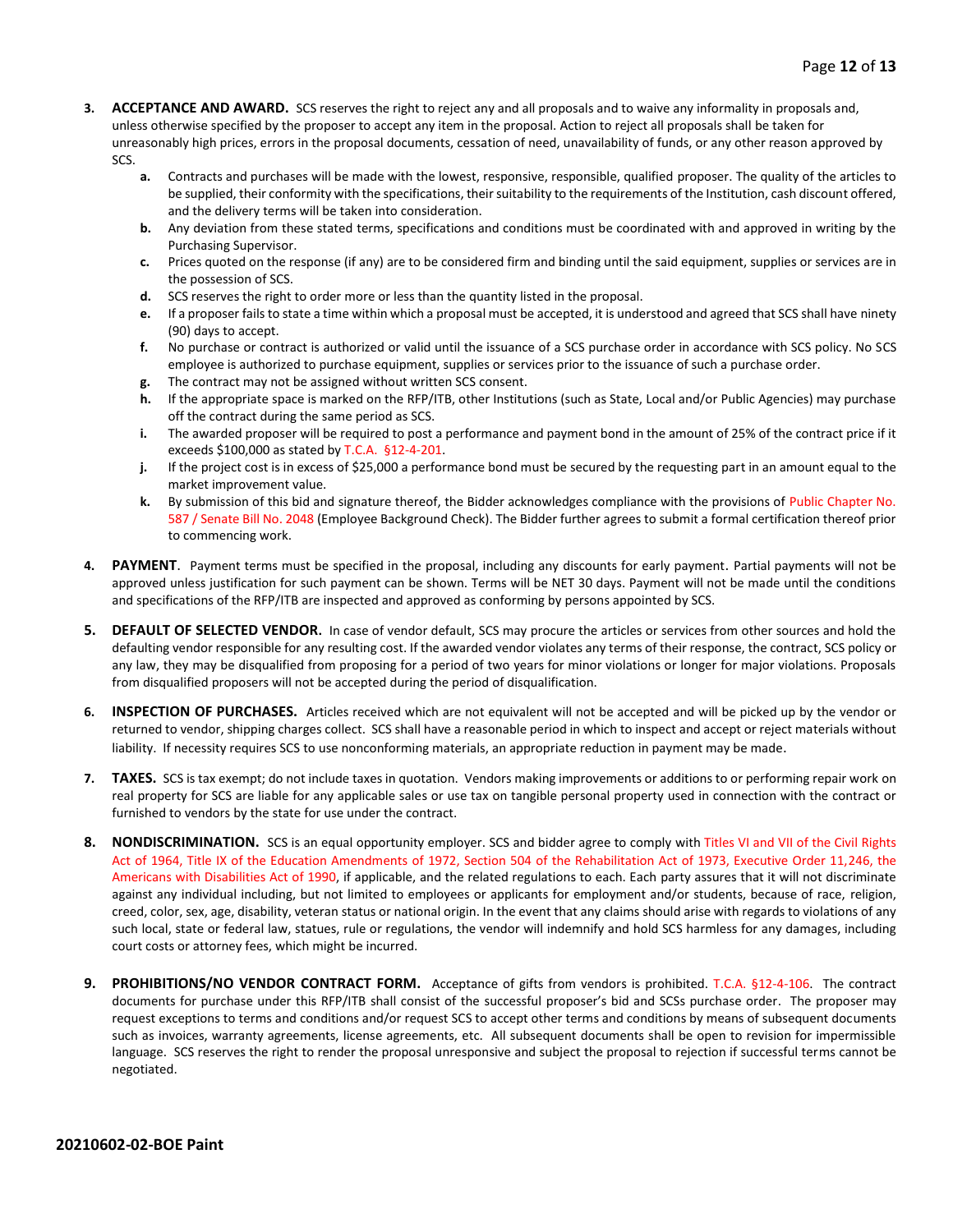- **3. ACCEPTANCE AND AWARD.** SCS reserves the right to reject any and all proposals and to waive any informality in proposals and, unless otherwise specified by the proposer to accept any item in the proposal. Action to reject all proposals shall be taken for unreasonably high prices, errors in the proposal documents, cessation of need, unavailability of funds, or any other reason approved by SCS.
	- **a.** Contracts and purchases will be made with the lowest, responsive, responsible, qualified proposer. The quality of the articles to be supplied, their conformity with the specifications, their suitability to the requirements of the Institution, cash discount offered, and the delivery terms will be taken into consideration.
	- **b.** Any deviation from these stated terms, specifications and conditions must be coordinated with and approved in writing by the Purchasing Supervisor.
	- **c.** Prices quoted on the response (if any) are to be considered firm and binding until the said equipment, supplies or services are in the possession of SCS.
	- **d.** SCS reserves the right to order more or less than the quantity listed in the proposal.
	- **e.** If a proposer fails to state a time within which a proposal must be accepted, it is understood and agreed that SCS shall have ninety (90) days to accept.
	- **f.** No purchase or contract is authorized or valid until the issuance of a SCS purchase order in accordance with SCS policy. No SCS employee is authorized to purchase equipment, supplies or services prior to the issuance of such a purchase order.
	- **g.** The contract may not be assigned without written SCS consent.
	- **h.** If the appropriate space is marked on the RFP/ITB, other Institutions (such as State, Local and/or Public Agencies) may purchase off the contract during the same period as SCS.
	- **i.** The awarded proposer will be required to post a performance and payment bond in the amount of 25% of the contract price if it exceeds \$100,000 as stated by T.C.A. §12-4-201.
	- **j.** If the project cost is in excess of \$25,000 a performance bond must be secured by the requesting part in an amount equal to the market improvement value.
	- **k.** By submission of this bid and signature thereof, the Bidder acknowledges compliance with the provisions of Public Chapter No. 587 / Senate Bill No. 2048 (Employee Background Check). The Bidder further agrees to submit a formal certification thereof prior to commencing work.
- **4. PAYMENT**. Payment terms must be specified in the proposal, including any discounts for early payment. Partial payments will not be approved unless justification for such payment can be shown. Terms will be NET 30 days. Payment will not be made until the conditions and specifications of the RFP/ITB are inspected and approved as conforming by persons appointed by SCS.
- **5. DEFAULT OF SELECTED VENDOR.** In case of vendor default, SCS may procure the articles or services from other sources and hold the defaulting vendor responsible for any resulting cost. If the awarded vendor violates any terms of their response, the contract, SCS policy or any law, they may be disqualified from proposing for a period of two years for minor violations or longer for major violations. Proposals from disqualified proposers will not be accepted during the period of disqualification.
- **6. INSPECTION OF PURCHASES.** Articles received which are not equivalent will not be accepted and will be picked up by the vendor or returned to vendor, shipping charges collect. SCS shall have a reasonable period in which to inspect and accept or reject materials without liability. If necessity requires SCS to use nonconforming materials, an appropriate reduction in payment may be made.
- **7. TAXES.** SCS is tax exempt; do not include taxes in quotation. Vendors making improvements or additions to or performing repair work on real property for SCS are liable for any applicable sales or use tax on tangible personal property used in connection with the contract or furnished to vendors by the state for use under the contract.
- **8. NONDISCRIMINATION.** SCS is an equal opportunity employer. SCS and bidder agree to comply with Titles VI and VII of the Civil Rights Act of 1964, Title IX of the Education Amendments of 1972, Section 504 of the Rehabilitation Act of 1973, Executive Order 11,246, the Americans with Disabilities Act of 1990, if applicable, and the related regulations to each. Each party assures that it will not discriminate against any individual including, but not limited to employees or applicants for employment and/or students, because of race, religion, creed, color, sex, age, disability, veteran status or national origin. In the event that any claims should arise with regards to violations of any such local, state or federal law, statues, rule or regulations, the vendor will indemnify and hold SCS harmless for any damages, including court costs or attorney fees, which might be incurred.
- **9. PROHIBITIONS/NO VENDOR CONTRACT FORM.** Acceptance of gifts from vendors is prohibited. T.C.A. §12-4-106. The contract documents for purchase under this RFP/ITB shall consist of the successful proposer's bid and SCSs purchase order. The proposer may request exceptions to terms and conditions and/or request SCS to accept other terms and conditions by means of subsequent documents such as invoices, warranty agreements, license agreements, etc. All subsequent documents shall be open to revision for impermissible language. SCS reserves the right to render the proposal unresponsive and subject the proposal to rejection if successful terms cannot be negotiated.